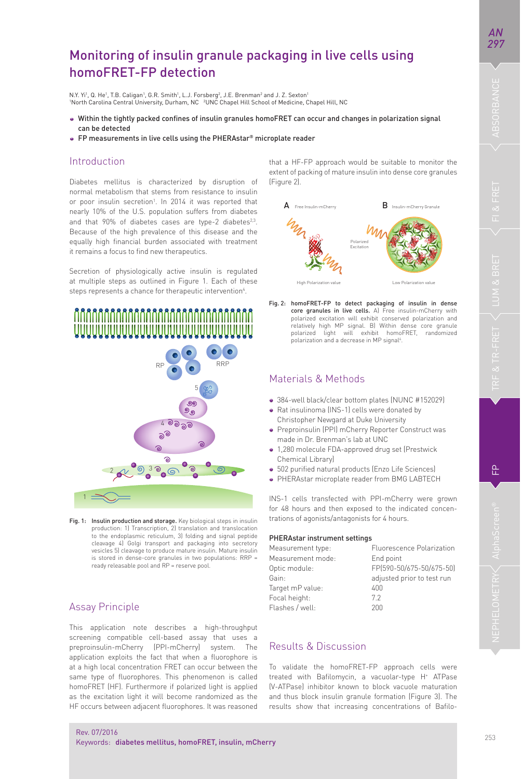욘

*AN* 

# Monitoring of insulin granule packaging in live cells using homoFRET-FP detection

N.Y. Yi<sup>1</sup>, Q. He<sup>1</sup>, T.B. Caligan<sup>1</sup>, G.R. Smith<sup>1</sup>, L.J. Forsberg<sup>2</sup>, J.E. Brenman<sup>2</sup> and J. Z. Sexton<sup>1</sup> <sup>1</sup>North Carolina Central University, Durham, NC <sup>2</sup>UNC Chapel Hill School of Medicine, Chapel Hill, NC

- . Within the tightly packed confines of insulin granules homoFRET can occur and changes in polarization signal can be detected
- FP measurements in live cells using the PHERAstar® microplate reader

### Introduction

Diabetes mellitus is characterized by disruption of normal metabolism that stems from resistance to insulin or poor insulin secretion<sup>1</sup>. In 2014 it was reported that nearly 10% of the U.S. population suffers from diabetes and that 90% of diabetes cases are type-2 diabetes<sup>2,3</sup>. Because of the high prevalence of this disease and the equally high financial burden associated with treatment it remains a focus to find new therapeutics.

Secretion of physiologically active insulin is regulated at multiple steps as outlined in Figure 1. Each of these steps represents a chance for therapeutic intervention<sup>4</sup>.



Fig. 1: Insulin production and storage. Key biological steps in insulin production: 1) Transcription, 2) translation and translocation to the endoplasmic reticulum, 3) folding and signal peptide cleavage 4) Golgi transport and packaging into secretory vesicles 5) cleavage to produce mature insulin. Mature insulin is stored in dense-core granules in two populations: RRP = ready releasable pool and RP = reserve pool.

## Assay Principle

Rev. 07/2016

This application note describes a high-throughput screening compatible cell-based assay that uses a preproinsulin-mCherry (PPI-mCherry) system. The application exploits the fact that when a fluorophore is at a high local concentration FRET can occur between the same type of fluorophores. This phenomenon is called homoFRET (HF). Furthermore if polarized light is applied as the excitation light it will become randomized as the HF occurs between adjacent fluorophores. It was reasoned that a HF-FP approach would be suitable to monitor the extent of packing of mature insulin into dense core granules (Figure 2).



Fig. 2: homoFRET-FP to detect packaging of insulin in dense core granules in live cells. A) Free insulin-mCherry with polarized excitation will exhibit conserved polarization and relatively high MP signal. B) Within dense core granule polarized light will exhibit homoFRET, randomized polarization and a decrease in MP signal<sup>4</sup>.

### Materials & Methods

- 384-well black/clear bottom plates (NUNC #152029)
- Rat insulinoma (INS-1) cells were donated by Christopher Newgard at Duke University
- Preproinsulin (PPI) mCherry Reporter Construct was made in Dr. Brenman's lab at UNC
- 1,280 molecule FDA-approved drug set (Prestwick
- Chemical Library) • 502 purified natural products (Enzo Life Sciences)
- PHERAstar microplate reader from BMG LABTECH
- 

INS-1 cells transfected with PPI-mCherry were grown for 48 hours and then exposed to the indicated concentrations of agonists/antagonists for 4 hours.

#### PHERAstar instrument settings

| Measurement type: | Fluorescence Polarization  |
|-------------------|----------------------------|
| Measurement mode: | End point                  |
| Optic module:     | FP(590-50/675-50/675-50)   |
| Gain:             | adjusted prior to test run |
| Target mP value:  | 400                        |
| Focal height:     | 72                         |
| Flashes / well:   | 200                        |

## Results & Discussion

To validate the homoFRET-FP approach cells were treated with Bafilomycin, a vacuolar-type H<sup>+</sup> ATPase (V-ATPase) inhibitor known to block vacuole maturation and thus block insulin granule formation (Figure 3). The results show that increasing concentrations of Bafilo